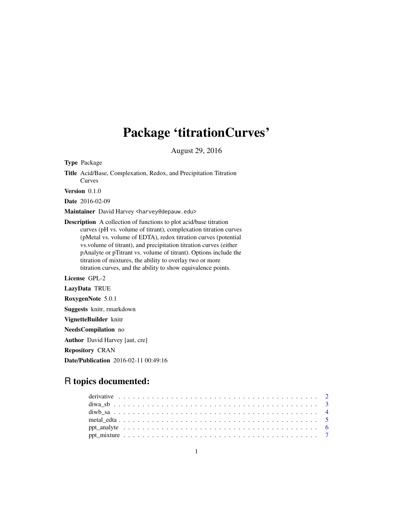# Package 'titrationCurves'

August 29, 2016

Type Package Title Acid/Base, Complexation, Redox, and Precipitation Titration Curves Version 0.1.0 Date 2016-02-09 Maintainer David Harvey <harvey@depauw.edu> Description A collection of functions to plot acid/base titration curves (pH vs. volume of titrant), complexation titration curves (pMetal vs. volume of EDTA), redox titration curves (potential vs.volume of titrant), and precipitation titration curves (either pAnalyte or pTitrant vs. volume of titrant). Options include the titration of mixtures, the ability to overlay two or more titration curves, and the ability to show equivalence points. License GPL-2 LazyData TRUE RoxygenNote 5.0.1 Suggests knitr, rmarkdown VignetteBuilder knitr NeedsCompilation no Author David Harvey [aut, cre] Repository CRAN

Date/Publication 2016-02-11 00:49:16

## R topics documented: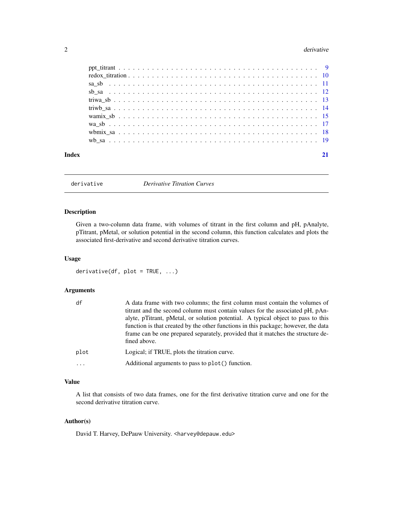#### <span id="page-1-0"></span>2 derivative contract of the contract of the contract of the contract of the contract of the contract of the contract of the contract of the contract of the contract of the contract of the contract of the contract of the c

| Index |  |
|-------|--|
|       |  |
|       |  |
|       |  |
|       |  |
|       |  |
|       |  |
|       |  |
|       |  |
|       |  |
|       |  |

derivative *Derivative Titration Curves*

#### Description

Given a two-column data frame, with volumes of titrant in the first column and pH, pAnalyte, pTitrant, pMetal, or solution potential in the second column, this function calculates and plots the associated first-derivative and second derivative titration curves.

#### Usage

```
derivative(df, plot = TRUE, ...)
```
#### Arguments

| df   | A data frame with two columns; the first column must contain the volumes of<br>titrant and the second column must contain values for the associated pH, pAn-<br>alyte, pTitrant, pMetal, or solution potential. A typical object to pass to this<br>function is that created by the other functions in this package; however, the data<br>frame can be one prepared separately, provided that it matches the structure de- |
|------|----------------------------------------------------------------------------------------------------------------------------------------------------------------------------------------------------------------------------------------------------------------------------------------------------------------------------------------------------------------------------------------------------------------------------|
|      | fined above.                                                                                                                                                                                                                                                                                                                                                                                                               |
| plot | Logical; if TRUE, plots the titration curve.                                                                                                                                                                                                                                                                                                                                                                               |
| .    | Additional arguments to pass to plot() function.                                                                                                                                                                                                                                                                                                                                                                           |

#### Value

A list that consists of two data frames, one for the first derivative titration curve and one for the second derivative titration curve.

#### Author(s)

David T. Harvey, DePauw University. <harvey@depauw.edu>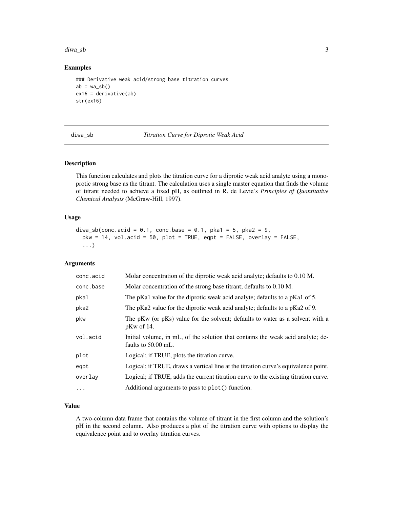#### <span id="page-2-0"></span>diwa\_sb 3

#### Examples

```
### Derivative weak acid/strong base titration curves
ab = wa_s b()ex16 = derivative(ab)
str(ex16)
```
diwa\_sb *Titration Curve for Diprotic Weak Acid*

#### Description

This function calculates and plots the titration curve for a diprotic weak acid analyte using a monoprotic strong base as the titrant. The calculation uses a single master equation that finds the volume of titrant needed to achieve a fixed pH, as outlined in R. de Levie's *Principles of Quantitative Chemical Analysis* (McGraw-Hill, 1997).

#### Usage

```
diwa_sb(conc.acid = 0.1, conc.base = 0.1, pka1 = 5, pka2 = 9,
 pkw = 14, vol.acid = 50, plot = TRUE, eqpt = FALSE, overlay = FALSE,
  ...)
```
#### Arguments

| conc.acid | Molar concentration of the diprotic weak acid analyte; defaults to 0.10 M.                             |
|-----------|--------------------------------------------------------------------------------------------------------|
| conc.base | Molar concentration of the strong base titrant; defaults to 0.10 M.                                    |
| pka1      | The pKa1 value for the diprotic weak acid analyte; defaults to a pKa1 of 5.                            |
| pka2      | The pKa2 value for the diprotic weak acid analyte; defaults to a pKa2 of 9.                            |
| pkw       | The pKw (or pKs) value for the solvent; defaults to water as a solvent with a<br>$pKw$ of 14.          |
| vol.acid  | Initial volume, in mL, of the solution that contains the weak acid analyte; de-<br>faults to 50.00 mL. |
| plot      | Logical; if TRUE, plots the titration curve.                                                           |
| eqpt      | Logical; if TRUE, draws a vertical line at the titration curve's equivalence point.                    |
| overlay   | Logical; if TRUE, adds the current titration curve to the existing titration curve.                    |
| $\ddots$  | Additional arguments to pass to plot() function.                                                       |

#### Value

A two-column data frame that contains the volume of titrant in the first column and the solution's pH in the second column. Also produces a plot of the titration curve with options to display the equivalence point and to overlay titration curves.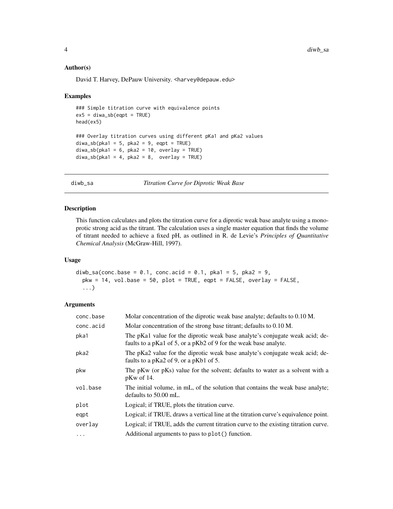#### Author(s)

David T. Harvey, DePauw University. <harvey@depauw.edu>

#### Examples

```
### Simple titration curve with equivalence points
ex5 = diwa_s^b(eqpt = TRUE)head(ex5)
### Overlay titration curves using different pKa1 and pKa2 values
diwa_s b(pka1 = 5, pka2 = 9, eqpt = TRUE)diwa_s b (pka1 = 6, pka2 = 10, overlay = TRUE)diwa_s b (pka1 = 4, pka2 = 8, overlay = TRUE)
```
diwb\_sa *Titration Curve for Diprotic Weak Base*

#### Description

This function calculates and plots the titration curve for a diprotic weak base analyte using a monoprotic strong acid as the titrant. The calculation uses a single master equation that finds the volume of titrant needed to achieve a fixed pH, as outlined in R. de Levie's *Principles of Quantitative Chemical Analysis* (McGraw-Hill, 1997).

#### Usage

```
diwb_sa(conc.base = 0.1, conc.acid = 0.1, pka1 = 5, pka2 = 9,
 pkw = 14, vol.base = 50, plot = TRUE, eqpt = FALSE, overlay = FALSE,
  ...)
```

| conc.base | Molar concentration of the diprotic weak base analyte; defaults to 0.10 M.                                                                       |
|-----------|--------------------------------------------------------------------------------------------------------------------------------------------------|
| conc.acid | Molar concentration of the strong base titrant; defaults to 0.10 M.                                                                              |
| pka1      | The pKa1 value for the diprotic weak base analyte's conjugate weak acid; de-<br>faults to a pKa1 of 5, or a pKb2 of 9 for the weak base analyte. |
| pka2      | The pKa2 value for the diprotic weak base analyte's conjugate weak acid; de-<br>faults to a pKa2 of 9, or a pKb1 of 5.                           |
| pkw       | The pKw (or pKs) value for the solvent; defaults to water as a solvent with a<br>$pKw$ of 14.                                                    |
| vol.base  | The initial volume, in mL, of the solution that contains the weak base analyte;<br>defaults to 50.00 mL.                                         |
| plot      | Logical; if TRUE, plots the titration curve.                                                                                                     |
| eqpt      | Logical; if TRUE, draws a vertical line at the titration curve's equivalence point.                                                              |
| overlay   | Logical; if TRUE, adds the current titration curve to the existing titration curve.                                                              |
| $\cdots$  | Additional arguments to pass to plot() function.                                                                                                 |

<span id="page-3-0"></span>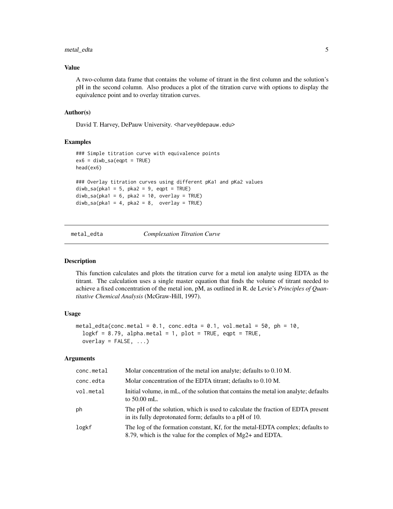#### <span id="page-4-0"></span>metal\_edta 5

#### Value

A two-column data frame that contains the volume of titrant in the first column and the solution's pH in the second column. Also produces a plot of the titration curve with options to display the equivalence point and to overlay titration curves.

#### Author(s)

David T. Harvey, DePauw University. <harvey@depauw.edu>

#### Examples

```
### Simple titration curve with equivalence points
ex6 = diwb\_sa(eqpt = TRUE)head(ex6)
### Overlay titration curves using different pKa1 and pKa2 values
divb<sub>-</sub>sa(pka1 = 5, pka2 = 9, eqpt = TRUE)
divb<sub>-</sub>sa(pka1 = 6, pka2 = 10, overlay = TRUE)
divb<sub>-</sub>sa(pka1 = 4, pka2 = 8, overlay = TRUE)
```
metal\_edta *Complexation Titration Curve*

#### Description

This function calculates and plots the titration curve for a metal ion analyte using EDTA as the titrant. The calculation uses a single master equation that finds the volume of titrant needed to achieve a fixed concentration of the metal ion, pM, as outlined in R. de Levie's *Principles of Quantitative Chemical Analysis* (McGraw-Hill, 1997).

#### Usage

```
metal_edta(conc.metal = 0.1, conc.edta = 0.1, vol.metal = 50, ph = 10,
  logkf = 8.79, alpha.metal = 1, plot = TRUE, eqpt = TRUE,
 overlay = FALSE, ...)
```

| conc.metal | Molar concentration of the metal ion analyte; defaults to 0.10 M.                                                                            |
|------------|----------------------------------------------------------------------------------------------------------------------------------------------|
| conc.edta  | Molar concentration of the EDTA titrant; defaults to 0.10 M.                                                                                 |
| vol.metal  | Initial volume, in mL, of the solution that contains the metal ion analyte; defaults<br>to $50.00$ mL.                                       |
| ph         | The pH of the solution, which is used to calculate the fraction of EDTA present<br>in its fully deprotonated form; defaults to a pH of 10.   |
| logkf      | The log of the formation constant, Kf, for the metal-EDTA complex; defaults to<br>8.79, which is the value for the complex of Mg2+ and EDTA. |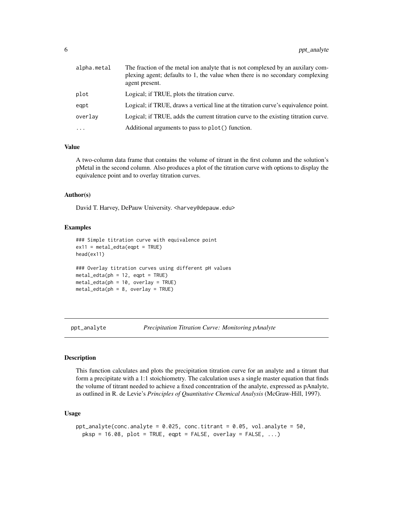<span id="page-5-0"></span>

| alpha.metal | The fraction of the metal ion analyte that is not complexed by an auxiliary com-<br>plexing agent; defaults to 1, the value when there is no secondary complexing<br>agent present. |
|-------------|-------------------------------------------------------------------------------------------------------------------------------------------------------------------------------------|
| plot        | Logical; if TRUE, plots the titration curve.                                                                                                                                        |
| eqpt        | Logical; if TRUE, draws a vertical line at the titration curve's equivalence point.                                                                                                 |
| overlav     | Logical; if TRUE, adds the current titration curve to the existing titration curve.                                                                                                 |
| $\cdots$    | Additional arguments to pass to plot() function.                                                                                                                                    |

#### Value

A two-column data frame that contains the volume of titrant in the first column and the solution's pMetal in the second column. Also produces a plot of the titration curve with options to display the equivalence point and to overlay titration curves.

#### Author(s)

David T. Harvey, DePauw University. <harvey@depauw.edu>

#### Examples

```
### Simple titration curve with equivalence point
ex11 = metal\_edta(eqpt = TRUE)head(ex11)
### Overlay titration curves using different pH values
metal_edta(ph = 12, eqpt = TRUE)
metal_edta(ph = 10, overlay = TRUE)
metal\_edta(ph = 8, overlay = TRUE)
```
ppt\_analyte *Precipitation Titration Curve: Monitoring pAnalyte*

#### Description

This function calculates and plots the precipitation titration curve for an analyte and a titrant that form a precipitate with a 1:1 stoichiometry. The calculation uses a single master equation that finds the volume of titrant needed to achieve a fixed concentration of the analyte, expressed as pAnalyte, as outlined in R. de Levie's *Principles of Quantitative Chemical Analysis* (McGraw-Hill, 1997).

#### Usage

```
ppt_analyte(conc.analyte = 0.025, conc.titrant = 0.05, vol.analyte = 50,
 p ksp = 16.08, plot = TRUE, eqpt = FALSE, overlay = FALSE, ...)
```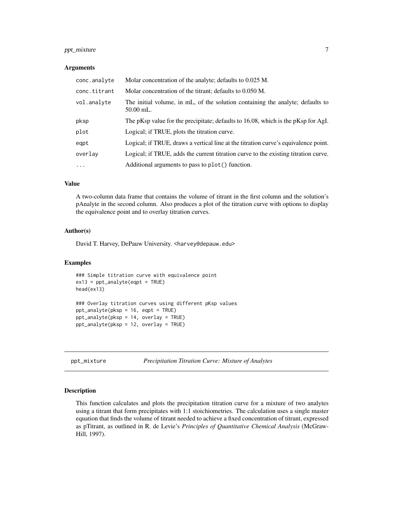#### <span id="page-6-0"></span>ppt\_mixture 7

#### **Arguments**

| conc.analyte | Molar concentration of the analyte; defaults to 0.025 M.                                      |
|--------------|-----------------------------------------------------------------------------------------------|
| conc.titrant | Molar concentration of the titrant; defaults to 0.050 M.                                      |
| vol.analyte  | The initial volume, in mL, of the solution containing the analyte; defaults to<br>$50.00$ mL. |
| pksp         | The pKsp value for the precipitate; defaults to $16.08$ , which is the pKsp for AgI.          |
| plot         | Logical; if TRUE, plots the titration curve.                                                  |
| eqpt         | Logical; if TRUE, draws a vertical line at the titration curve's equivalence point.           |
| overlay      | Logical; if TRUE, adds the current titration curve to the existing titration curve.           |
| $\cdots$     | Additional arguments to pass to plot() function.                                              |

#### Value

A two-column data frame that contains the volume of titrant in the first column and the solution's pAnalyte in the second column. Also produces a plot of the titration curve with options to display the equivalence point and to overlay titration curves.

#### Author(s)

David T. Harvey, DePauw University. <harvey@depauw.edu>

#### Examples

```
### Simple titration curve with equivalence point
ex13 = ppt_analyte(eqpt = TRUE)
head(ex13)
### Overlay titration curves using different pKsp values
ppt_analyte(pksp = 16, eqpt = TRUE)
ppt_analyte(pksp = 14, overlay = TRUE)
ppt_analyte(pksp = 12, overlay = TRUE)
```
ppt\_mixture *Precipitation Titration Curve: Mixture of Analytes*

#### Description

This function calculates and plots the precipitation titration curve for a mixture of two analytes using a titrant that form precipitates with 1:1 stoichiometries. The calculation uses a single master equation that finds the volume of titrant needed to achieve a fixed concentration of titrant, expressed as pTitrant, as outlined in R. de Levie's *Principles of Quantitative Chemical Analysis* (McGraw-Hill, 1997).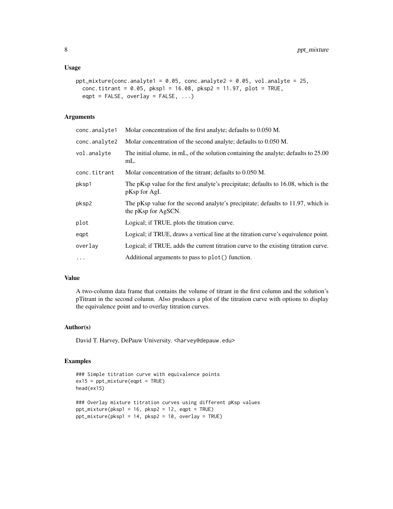#### Usage

```
ppt_mixture(conc.analyte1 = 0.05, conc.analyte2 = 0.05, vol.analyte = 25,
  conc.titrant = 0.05, pksp1 = 16.08, pksp2 = 11.97, plot = TRUE,
  eqpt = FALSE, overlap = FALSE, ...)
```
### Arguments

| conc.analyte1 | Molar concentration of the first analyte; defaults to 0.050 M.                                          |
|---------------|---------------------------------------------------------------------------------------------------------|
| conc.analyte2 | Molar concentration of the second analyte; defaults to 0.050 M.                                         |
| vol.analyte   | The initial olume, in mL, of the solution containing the analyte; defaults to 25.00<br>mL.              |
| conc.titrant  | Molar concentration of the titrant; defaults to 0.050 M.                                                |
| pksp1         | The pKsp value for the first analyte's precipitate; defaults to 16.08, which is the<br>pKsp for AgI.    |
| pksp2         | The pKsp value for the second analyte's precipitate; defaults to 11.97, which is<br>the pKsp for AgSCN. |
| plot          | Logical; if TRUE, plots the titration curve.                                                            |
| eqpt          | Logical; if TRUE, draws a vertical line at the titration curve's equivalence point.                     |
| overlay       | Logical; if TRUE, adds the current titration curve to the existing titration curve.                     |
| $\ddots$ .    | Additional arguments to pass to plot() function.                                                        |

#### Value

A two-column data frame that contains the volume of titrant in the first column and the solution's pTitrant in the second column. Also produces a plot of the titration curve with options to display the equivalence point and to overlay titration curves.

#### Author(s)

David T. Harvey, DePauw University. <harvey@depauw.edu>

#### Examples

```
### Simple titration curve with equivalence points
ex15 = <math>ppt\_mixture(eqpt = TRUE)</math>head(ex15)
### Overlay mixture titration curves using different pKsp values
ppt_mixture(pksp1 = 16, pksp2 = 12, eqpt = TRUE)
ppt_mixture(pksp1 = 14, pksp2 = 10, overlay = TRUE)
```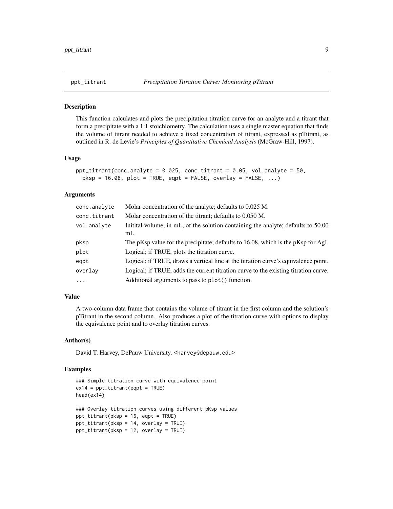<span id="page-8-0"></span>

#### Description

This function calculates and plots the precipitation titration curve for an analyte and a titrant that form a precipitate with a 1:1 stoichiometry. The calculation uses a single master equation that finds the volume of titrant needed to achieve a fixed concentration of titrant, expressed as pTitrant, as outlined in R. de Levie's *Principles of Quantitative Chemical Analysis* (McGraw-Hill, 1997).

#### Usage

```
ppt\_titrant(conc. analyze = 0.025, conc.titrant = 0.05, vol. analyze = 50,pksp = 16.08, plot = TRUE, eqpt = FALSE, overlay = FALSE, ...)
```
#### Arguments

| conc.analyte | Molar concentration of the analyte; defaults to 0.025 M.                                 |
|--------------|------------------------------------------------------------------------------------------|
| conc.titrant | Molar concentration of the titrant; defaults to 0.050 M.                                 |
| vol.analyte  | Initital volume, in mL, of the solution containing the analyte; defaults to 50.00<br>mL. |
| pksp         | The pKsp value for the precipitate; defaults to 16.08, which is the pKsp for AgI.        |
| plot         | Logical; if TRUE, plots the titration curve.                                             |
| eqpt         | Logical; if TRUE, draws a vertical line at the titration curve's equivalence point.      |
| overlay      | Logical; if TRUE, adds the current titration curve to the existing titration curve.      |
| $\ddots$ .   | Additional arguments to pass to plot() function.                                         |

#### Value

A two-column data frame that contains the volume of titrant in the first column and the solution's pTitrant in the second column. Also produces a plot of the titration curve with options to display the equivalence point and to overlay titration curves.

#### Author(s)

David T. Harvey, DePauw University. <harvey@depauw.edu>

#### Examples

```
### Simple titration curve with equivalence point
ex14 = <math>ppt\_titrant(eqpt = TRUE)</math>head(ex14)
### Overlay titration curves using different pKsp values
ppt_titrant(pksp = 16, eqpt = TRUE)
ppt_titrant(pksp = 14, overlay = TRUE)
ppt_titrant(pksp = 12, overlay = TRUE)
```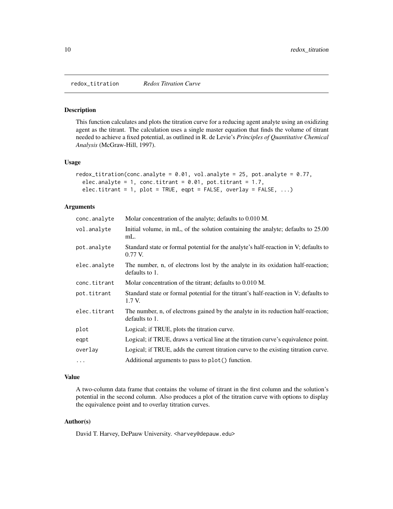<span id="page-9-0"></span>redox\_titration *Redox Titration Curve*

#### Description

This function calculates and plots the titration curve for a reducing agent analyte using an oxidizing agent as the titrant. The calculation uses a single master equation that finds the volume of titrant needed to achieve a fixed potential, as outlined in R. de Levie's *Principles of Quantitative Chemical Analysis* (McGraw-Hill, 1997).

#### Usage

```
redox_titration(conc.analyte = 0.01, vol.analyte = 25, pot.analyte = 0.77,
  elec.analyte = 1, conc.titrant = 0.01, pot.titrant = 1.7,
  elec.titrant = 1, plot = TRUE, eqpt = FALSE, overlay = FALSE, ...)
```
#### Arguments

| conc.analyte | Molar concentration of the analyte; defaults to 0.010 M.                                            |
|--------------|-----------------------------------------------------------------------------------------------------|
| vol.analyte  | Initial volume, in mL, of the solution containing the analyte; defaults to 25.00<br>mL.             |
| pot.analyte  | Standard state or formal potential for the analyte's half-reaction in V; defaults to<br>$0.77$ V.   |
| elec.analyte | The number, n, of electrons lost by the analyte in its oxidation half-reaction;<br>defaults to 1.   |
| conc.titrant | Molar concentration of the titrant; defaults to 0.010 M.                                            |
| pot.titrant  | Standard state or formal potential for the titrant's half-reaction in V; defaults to<br>1.7 V.      |
| elec.titrant | The number, n, of electrons gained by the analyte in its reduction half-reaction;<br>defaults to 1. |
| plot         | Logical; if TRUE, plots the titration curve.                                                        |
| eqpt         | Logical; if TRUE, draws a vertical line at the titration curve's equivalence point.                 |
| overlay      | Logical; if TRUE, adds the current titration curve to the existing titration curve.                 |
| $\cdots$     | Additional arguments to pass to plot() function.                                                    |

#### Value

A two-column data frame that contains the volume of titrant in the first column and the solution's potential in the second column. Also produces a plot of the titration curve with options to display the equivalence point and to overlay titration curves.

#### Author(s)

David T. Harvey, DePauw University. <harvey@depauw.edu>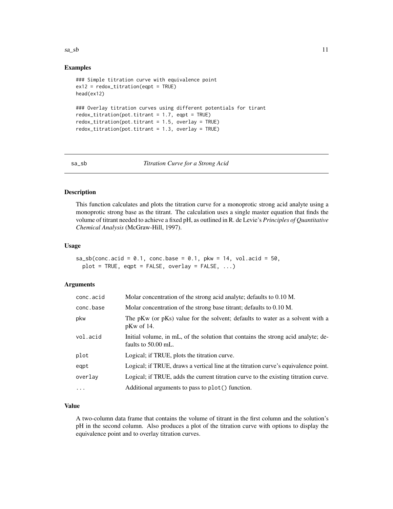<span id="page-10-0"></span> $sa\_sb$  11

#### Examples

```
### Simple titration curve with equivalence point
ex12 = redox\_titration(eqpt = TRUE)head(ex12)
### Overlay titration curves using different potentials for tirant
redox_titration(pot.titrant = 1.7, eqpt = TRUE)
redox_titration(pot.titrant = 1.5, overlay = TRUE)
redox_titration(pot.titrant = 1.3, overlay = TRUE)
```
#### sa\_sb *Titration Curve for a Strong Acid*

#### Description

This function calculates and plots the titration curve for a monoprotic strong acid analyte using a monoprotic strong base as the titrant. The calculation uses a single master equation that finds the volume of titrant needed to achieve a fixed pH, as outlined in R. de Levie's *Principles of Quantitative Chemical Analysis* (McGraw-Hill, 1997).

#### Usage

```
sa\_sb(conc.acid = 0.1, conc.base = 0.1, pkw = 14, vol.acid = 50,
 plot = TRUE, eqpt = FALSE, overlay = FALSE, ...)
```
#### Arguments

| conc.acid | Molar concentration of the strong acid analyte; defaults to 0.10 M.                                      |
|-----------|----------------------------------------------------------------------------------------------------------|
| conc.base | Molar concentration of the strong base titrant; defaults to 0.10 M.                                      |
| pkw       | The pKw (or pKs) value for the solvent; defaults to water as a solvent with a<br>$pKw$ of 14.            |
| vol.acid  | Initial volume, in mL, of the solution that contains the strong acid analyte; de-<br>faults to 50.00 mL. |
| plot      | Logical; if TRUE, plots the titration curve.                                                             |
| eqpt      | Logical; if TRUE, draws a vertical line at the titration curve's equivalence point.                      |
| overlay   | Logical; if TRUE, adds the current titration curve to the existing titration curve.                      |
| $\ddots$  | Additional arguments to pass to plot() function.                                                         |

#### Value

A two-column data frame that contains the volume of titrant in the first column and the solution's pH in the second column. Also produces a plot of the titration curve with options to display the equivalence point and to overlay titration curves.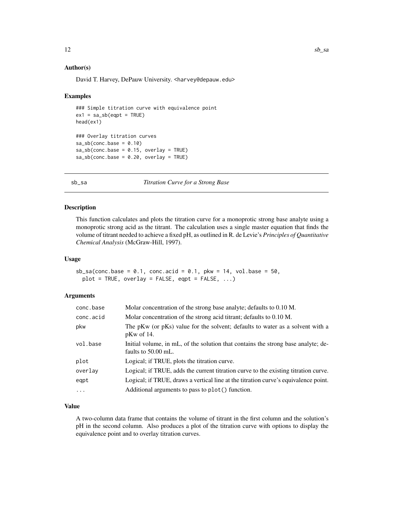#### Author(s)

David T. Harvey, DePauw University. <harvey@depauw.edu>

#### Examples

```
### Simple titration curve with equivalence point
ex1 = sa_s b(eqpt = TRUE)head(ex1)
### Overlay titration curves
sa_s b (conc.base = 0.10)sa\_sb(conc.base = 0.15, overlap = TRUE)sa\_sb(conc.base = 0.20, overlap = TRUE)
```
sb\_sa *Titration Curve for a Strong Base*

#### Description

This function calculates and plots the titration curve for a monoprotic strong base analyte using a monoprotic strong acid as the titrant. The calculation uses a single master equation that finds the volume of titrant needed to achieve a fixed pH, as outlined in R. de Levie's *Principles of Quantitative Chemical Analysis* (McGraw-Hill, 1997).

#### Usage

```
sb\_sa(conc.base = 0.1, conc.acid = 0.1, pkw = 14, vol.base = 50,plot = TRUE, overlay = FALSE, eqpt = FALSE, ...)
```
#### Arguments

| conc.base | Molar concentration of the strong base analyte; defaults to 0.10 M.                                      |
|-----------|----------------------------------------------------------------------------------------------------------|
| conc.acid | Molar concentration of the strong acid titrant; defaults to 0.10 M.                                      |
| pkw       | The pKw (or pKs) value for the solvent; defaults to water as a solvent with a<br>$pKw$ of 14.            |
| vol.base  | Initial volume, in mL, of the solution that contains the strong base analyte; de-<br>faults to 50.00 mL. |
| plot      | Logical; if TRUE, plots the titration curve.                                                             |
| overlay   | Logical; if TRUE, adds the current titration curve to the existing titration curve.                      |
| eqpt      | Logical; if TRUE, draws a vertical line at the titration curve's equivalence point.                      |
| $\ddots$  | Additional arguments to pass to plot() function.                                                         |

#### Value

A two-column data frame that contains the volume of titrant in the first column and the solution's pH in the second column. Also produces a plot of the titration curve with options to display the equivalence point and to overlay titration curves.

<span id="page-11-0"></span>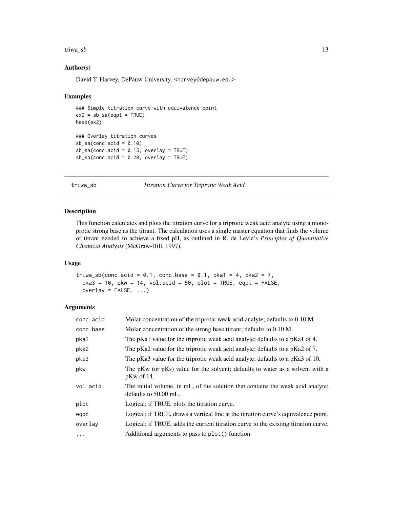#### <span id="page-12-0"></span>triwa\_sb 13

#### Author(s)

David T. Harvey, DePauw University. <harvey@depauw.edu>

#### Examples

```
### Simple titration curve with equivalence point
ex2 = sb\_sa(eqpt = TRUE)head(ex2)
### Overlay titration curves
sb<sub>-</sub>sa(conc.acid = 0.10)
sb<sub>-</sub>sa(conc.acid = 0.15, overlay = TRUE)
sb<sub>-</sub>sa(conc.acid = 0.20, overlay = TRUE)
```
triwa\_sb *Titration Curve for Triprotic Weak Acid*

#### Description

This function calculates and plots the titration curve for a triprotic weak acid analyte using a monoprotic strong base as the titrant. The calculation uses a single master equation that finds the volume of titrant needed to achieve a fixed pH, as outlined in R. de Levie's *Principles of Quantitative Chemical Analysis* (McGraw-Hill, 1997).

#### Usage

```
triwa_sb(conc.acid = 0.1, conc.base = 0.1, pka1 = 4, pka2 = 7,
 pka3 = 10, pkw = 14, vol.acid = 50, plot = TRUE, eqpt = FALSE,
 overlay = FALSE, ...)
```

| conc.acid | Molar concentration of the triprotic weak acid analyte; defaults to 0.10 M.                              |
|-----------|----------------------------------------------------------------------------------------------------------|
| conc.base | Molar concentration of the strong base titrant; defaults to 0.10 M.                                      |
| pka1      | The pKa1 value for the triprotic weak acid analyte; defaults to a pKa1 of 4.                             |
| pka2      | The pKa2 value for the triprotic weak acid analyte; defaults to a pKa2 of 7.                             |
| pka3      | The pKa3 value for the triprotic weak acid analyte; defaults to a pKa3 of 10.                            |
| pkw       | The pKw (or pKs) value for the solvent; defaults to water as a solvent with a<br>$pKw$ of 14.            |
| vol.acid  | The initial volume, in mL, of the solution that contains the weak acid analyte;<br>defaults to 50.00 mL. |
| plot      | Logical; if TRUE, plots the titration curve.                                                             |
| eqpt      | Logical; if TRUE, draws a vertical line at the titration curve's equivalence point.                      |
| overlay   | Logical; if TRUE, adds the current titration curve to the existing titration curve.                      |
| $\cdots$  | Additional arguments to pass to plot() function.                                                         |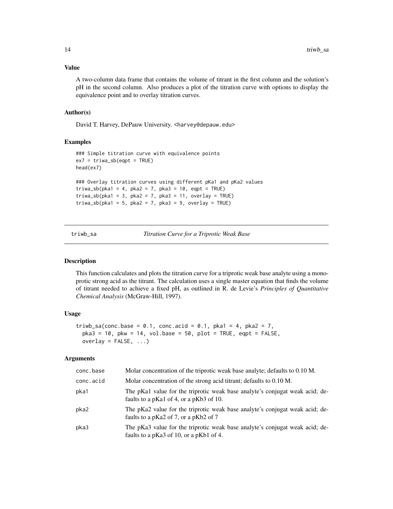#### <span id="page-13-0"></span>Value

A two-column data frame that contains the volume of titrant in the first column and the solution's pH in the second column. Also produces a plot of the titration curve with options to display the equivalence point and to overlay titration curves.

#### Author(s)

David T. Harvey, DePauw University. <harvey@depauw.edu>

#### Examples

```
### Simple titration curve with equivalence points
ex7 = triva_s^{\circ} = TRUE)
head(ex7)
### Overlay titration curves using different pKa1 and pKa2 values
triwa_sb(pka1 = 4, pka2 = 7, pka3 = 10, eqpt = TRUE)
triwa_sb(pka1 = 3, pka2 = 7, pka3 = 11, overlay = TRUE)
triva_s b (pka1 = 5, pka2 = 7, pka3 = 9, overlay = TRUE)
```
triwb\_sa *Titration Curve for a Triprotic Weak Base*

#### Description

This function calculates and plots the titration curve for a triprotic weak base analyte using a monoprotic strong acid as the titrant. The calculation uses a single master equation that finds the volume of titrant needed to achieve a fixed pH, as outlined in R. de Levie's *Principles of Quantitative Chemical Analysis* (McGraw-Hill, 1997).

#### Usage

```
triwb_sa(conc.base = 0.1, conc.acid = 0.1, pka1 = 4, pka2 = 7,
 pka3 = 10, pkw = 14, vol.base = 50, plot = TRUE, eqpt = FALSE,
 overlay = FALSE, ...)
```

| conc.base | Molar concentration of the triprotic weak base analyte; defaults to 0.10 M.                                             |
|-----------|-------------------------------------------------------------------------------------------------------------------------|
| conc.acid | Molar concentration of the strong acid titrant; defaults to 0.10 M.                                                     |
| pka1      | The pKa1 value for the triprotic weak base analyte's conjugat weak acid; de-<br>faults to a pKa1 of 4, or a pKb3 of 10. |
| pka2      | The pKa2 value for the triprotic weak base analyte's conjugat weak acid; de-<br>faults to a pKa2 of 7, or a pKb2 of 7   |
| pka3      | The pKa3 value for the triprotic weak base analyte's conjugat weak acid; de-<br>faults to a pKa3 of 10, or a pKb1 of 4. |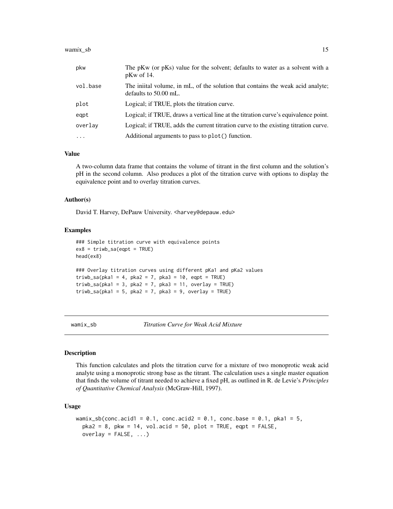#### <span id="page-14-0"></span> $wamix\_sb$  15

| pkw      | The pKw (or pKs) value for the solvent; defaults to water as a solvent with a<br>$pKw$ of 14.            |
|----------|----------------------------------------------------------------------------------------------------------|
| vol.base | The initial volume, in mL, of the solution that contains the weak acid analyte;<br>defaults to 50.00 mL. |
| plot     | Logical; if TRUE, plots the titration curve.                                                             |
| egpt     | Logical; if TRUE, draws a vertical line at the titration curve's equivalence point.                      |
| overlay  | Logical; if TRUE, adds the current titration curve to the existing titration curve.                      |
| $\cdot$  | Additional arguments to pass to plot() function.                                                         |

#### Value

A two-column data frame that contains the volume of titrant in the first column and the solution's pH in the second column. Also produces a plot of the titration curve with options to display the equivalence point and to overlay titration curves.

#### Author(s)

David T. Harvey, DePauw University. <harvey@depauw.edu>

#### Examples

```
### Simple titration curve with equivalence points
ex8 = triwb\_sa(eqpt = TRUE)head(ex8)
### Overlay titration curves using different pKa1 and pKa2 values
triwb_sa(pka1 = 4, pka2 = 7, pka3 = 10, eqpt = TRUE)triwb_sa(pka1 = 3, pka2 = 7, pka3 = 11, overlay = TRUE)triwb_sa(pka1 = 5, pka2 = 7, pka3 = 9, overlay = TRUE)
```
wamix\_sb *Titration Curve for Weak Acid Mixture*

#### Description

This function calculates and plots the titration curve for a mixture of two monoprotic weak acid analyte using a monoprotic strong base as the titrant. The calculation uses a single master equation that finds the volume of titrant needed to achieve a fixed pH, as outlined in R. de Levie's *Principles of Quantitative Chemical Analysis* (McGraw-Hill, 1997).

#### Usage

```
wamix_sb(conc.acid1 = 0.1, conc.acid2 = 0.1, conc.base = 0.1, pka1 = 5,
 pka2 = 8, pkw = 14, vol.acid = 50, plot = TRUE, eqpt = FALSE,
 overlay = FALSE, ...)
```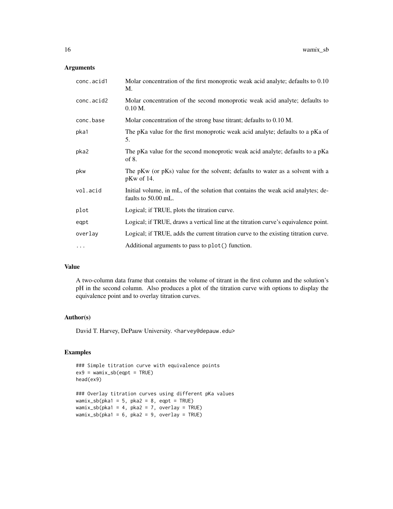#### Arguments

| Molar concentration of the first monoprotic weak acid analyte; defaults to 0.10<br>M.                   |
|---------------------------------------------------------------------------------------------------------|
| Molar concentration of the second monoprotic weak acid analyte; defaults to<br>$0.10 M$ .               |
| Molar concentration of the strong base titrant; defaults to 0.10 M.                                     |
| The pKa value for the first monoprotic weak acid analyte; defaults to a pKa of<br>5.                    |
| The pKa value for the second monoprotic weak acid analyte; defaults to a pKa<br>of $8$ .                |
| The pKw (or pKs) value for the solvent; defaults to water as a solvent with a<br>$pKw$ of 14.           |
| Initial volume, in mL, of the solution that contains the weak acid analytes; de-<br>faults to 50.00 mL. |
| Logical; if TRUE, plots the titration curve.                                                            |
| Logical; if TRUE, draws a vertical line at the titration curve's equivalence point.                     |
| Logical; if TRUE, adds the current titration curve to the existing titration curve.                     |
| Additional arguments to pass to plot() function.                                                        |
|                                                                                                         |

#### Value

A two-column data frame that contains the volume of titrant in the first column and the solution's pH in the second column. Also produces a plot of the titration curve with options to display the equivalence point and to overlay titration curves.

#### Author(s)

David T. Harvey, DePauw University. <harvey@depauw.edu>

#### Examples

```
### Simple titration curve with equivalence points
ex9 = wamix_sbc(eqpt = TRUE)head(ex9)
### Overlay titration curves using different pKa values
wamix_sb(pka1 = 5, pka2 = 8, eqpt = TRUE)
wamix_sb(pka1 = 4, pka2 = 7, overlay = TRUE)
wamix_sb(pka1 = 6, pka2 = 9, overlay = TRUE)
```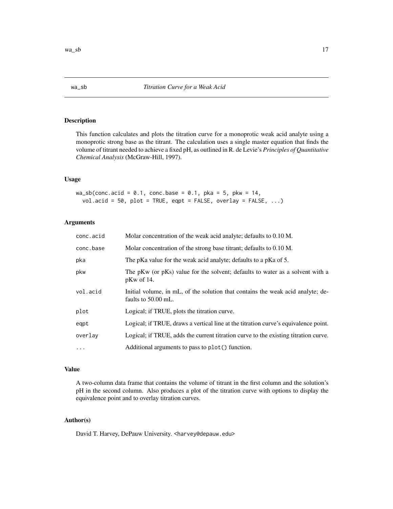#### <span id="page-16-0"></span>Description

This function calculates and plots the titration curve for a monoprotic weak acid analyte using a monoprotic strong base as the titrant. The calculation uses a single master equation that finds the volume of titrant needed to achieve a fixed pH, as outlined in R. de Levie's *Principles of Quantitative Chemical Analysis* (McGraw-Hill, 1997).

#### Usage

 $wa_s$ b(conc.acid = 0.1, conc.base = 0.1, pka = 5, pkw = 14,  $vol. \text{acid} = 50$ ,  $plot = TRUE$ ,  $eqpt = FALSE$ ,  $overlay = FALSE$ , ...)

#### Arguments

| conc.acid  | Molar concentration of the weak acid analyte; defaults to 0.10 M.                                      |
|------------|--------------------------------------------------------------------------------------------------------|
| conc.base  | Molar concentration of the strong base titrant; defaults to 0.10 M.                                    |
| pka        | The pKa value for the weak acid analyte; defaults to a pKa of 5.                                       |
| pkw        | The pKw (or pKs) value for the solvent; defaults to water as a solvent with a<br>$pKw$ of 14.          |
| vol.acid   | Initial volume, in mL, of the solution that contains the weak acid analyte; de-<br>faults to 50.00 mL. |
| plot       | Logical; if TRUE, plots the titration curve.                                                           |
| eqpt       | Logical; if TRUE, draws a vertical line at the titration curve's equivalence point.                    |
| overlay    | Logical; if TRUE, adds the current titration curve to the existing titration curve.                    |
| $\ddots$ . | Additional arguments to pass to plot() function.                                                       |

#### Value

A two-column data frame that contains the volume of titrant in the first column and the solution's pH in the second column. Also produces a plot of the titration curve with options to display the equivalence point and to overlay titration curves.

#### Author(s)

David T. Harvey, DePauw University. <harvey@depauw.edu>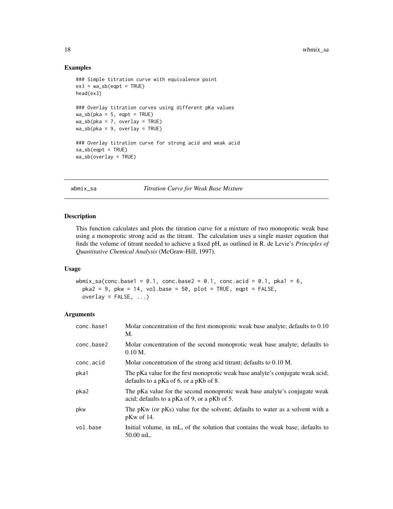#### Examples

```
### Simple titration curve with equivalence point
ex3 = wa_s b(eqpt = TRUE)head(ex3)
### Overlay titration curves using different pKa values
wa_s b(pka = 5, eqpt = TRUE)wa_s b(pka = 7, overlay = TRUE)wa_s b(pka = 9, overlay = TRUE)### Overlay titration curve for strong acid and weak acid
sa_sb(eqpt = TRUE)
wa_sb(overlay = TRUE)
```
wbmix\_sa *Titration Curve for Weak Base Mixture*

#### Description

This function calculates and plots the titration curve for a mixture of two monoprotic weak base using a monoprotic strong acid as the titrant. The calculation uses a single master equation that finds the volume of titrant needed to achieve a fixed pH, as outlined in R. de Levie's *Principles of Quantitative Chemical Analysis* (McGraw-Hill, 1997).

#### Usage

```
wbmix_sa(conc.base1 = 0.1, conc.base2 = 0.1, conc.acid = 0.1, pka1 = 6,
 pka2 = 9, pkw = 14, vol.base = 50, plot = TRUE, eqpt = FALSE,
 overlay = FALSE, ...)
```

| conc.base1 | Molar concentration of the first monoprotic weak base analyte; defaults to 0.10<br>M.                                         |
|------------|-------------------------------------------------------------------------------------------------------------------------------|
| conc.base2 | Molar concentration of the second monoprotic weak base analyte; defaults to<br>$0.10 M$ .                                     |
| conc.acid  | Molar concentration of the strong acid titrant; defaults to 0.10 M.                                                           |
| pka1       | The pKa value for the first monoprotic weak base analyte's conjugate weak acid;<br>defaults to a $pKa$ of 6, or a $pKb$ of 8. |
| pka2       | The pKa value for the second monoprotic weak base analyte's conjugate weak<br>acid; defaults to a pKa of 9, or a pKb of 5.    |
| pkw        | The pKw (or pKs) value for the solvent; defaults to water as a solvent with a<br>$pKw$ of 14.                                 |
| vol.base   | Initial volume, in mL, of the solution that contains the weak base; defaults to<br>$50.00$ mL.                                |

<span id="page-17-0"></span>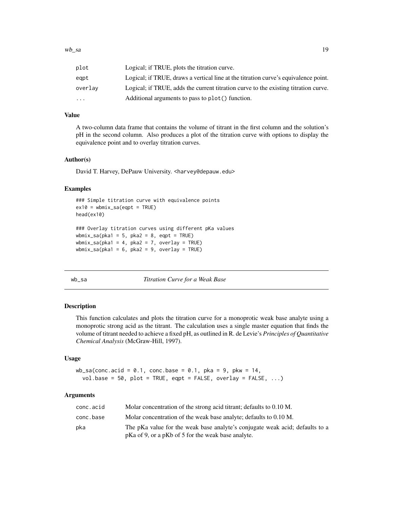<span id="page-18-0"></span>

| plot    | Logical; if TRUE, plots the titration curve.                                        |
|---------|-------------------------------------------------------------------------------------|
| eapt    | Logical; if TRUE, draws a vertical line at the titration curve's equivalence point. |
| overlav | Logical; if TRUE, adds the current titration curve to the existing titration curve. |
| .       | Additional arguments to pass to plot() function.                                    |

#### Value

A two-column data frame that contains the volume of titrant in the first column and the solution's pH in the second column. Also produces a plot of the titration curve with options to display the equivalence point and to overlay titration curves.

#### Author(s)

David T. Harvey, DePauw University. <harvey@depauw.edu>

#### Examples

```
### Simple titration curve with equivalence points
ex10 = whmix\_sa(eqpt = TRUE)head(ex10)
### Overlay titration curves using different pKa values
wbmix_sa(pka1 = 5, pka2 = 8, eqpt = TRUE)
wbmix_sa(pka1 = 4, pka2 = 7, overlay = TRUE)
whmix\_sa(pka1 = 6, pka2 = 9, overlay = TRUE)
```
wb\_sa *Titration Curve for a Weak Base*

#### Description

This function calculates and plots the titration curve for a monoprotic weak base analyte using a monoprotic strong acid as the titrant. The calculation uses a single master equation that finds the volume of titrant needed to achieve a fixed pH, as outlined in R. de Levie's *Principles of Quantitative Chemical Analysis* (McGraw-Hill, 1997).

#### Usage

```
wb\_sa(conc.acid = 0.1, conc.base = 0.1, pka = 9, pkw = 14,vol.\text{base} = 50, plot = TRUE, eqpt = FALSE, overlap = FALSE, ...)
```

| conc.acid | Molar concentration of the strong acid titrant; defaults to 0.10 M.                                                                |
|-----------|------------------------------------------------------------------------------------------------------------------------------------|
| conc.base | Molar concentration of the weak base analyte; defaults to 0.10 M.                                                                  |
| pka       | The pKa value for the weak base analyte's conjugate weak acid; defaults to a<br>pKa of 9, or a pKb of 5 for the weak base analyte. |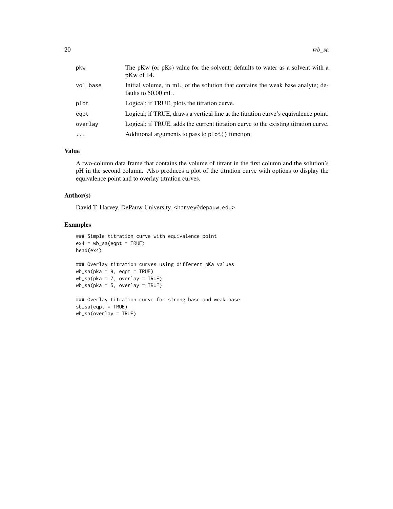| pkw      | The pKw (or pKs) value for the solvent; defaults to water as a solvent with a<br>$pKw$ of 14.          |
|----------|--------------------------------------------------------------------------------------------------------|
| vol.base | Initial volume, in mL, of the solution that contains the weak base analyte; de-<br>faults to 50.00 mL. |
| plot     | Logical; if TRUE, plots the titration curve.                                                           |
| eqpt     | Logical; if TRUE, draws a vertical line at the titration curve's equivalence point.                    |
| overlay  | Logical; if TRUE, adds the current titration curve to the existing titration curve.                    |
| $\cdot$  | Additional arguments to pass to plot() function.                                                       |

#### Value

A two-column data frame that contains the volume of titrant in the first column and the solution's pH in the second column. Also produces a plot of the titration curve with options to display the equivalence point and to overlay titration curves.

### Author(s)

David T. Harvey, DePauw University. <harvey@depauw.edu>

#### Examples

```
### Simple titration curve with equivalence point
ex4 = wb\_sa(eqpt = TRUE)head(ex4)
### Overlay titration curves using different pKa values
wb\_sa(pka = 9, eqpt = TRUE)wb_sa(pka = 7, overlay = TRUE)
wb_sa(pka = 5, overlay = TRUE)
### Overlay titration curve for strong base and weak base
sb<sub>-</sub>sa(eqpt = TRUE)
wb_sa(overlay = TRUE)
```